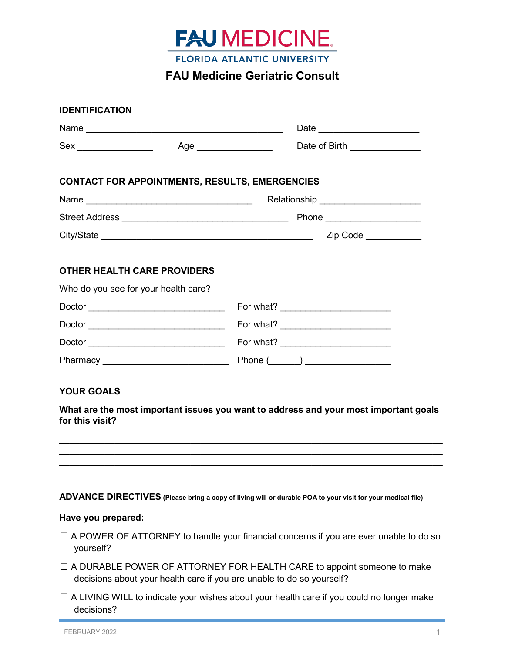

# **FAU Medicine Geriatric Consult**

|                                                                            |                                                       | Date of Birth _______________      |
|----------------------------------------------------------------------------|-------------------------------------------------------|------------------------------------|
|                                                                            | <b>CONTACT FOR APPOINTMENTS, RESULTS, EMERGENCIES</b> |                                    |
|                                                                            |                                                       | Relationship _____________________ |
|                                                                            |                                                       |                                    |
|                                                                            |                                                       |                                    |
|                                                                            |                                                       |                                    |
| <b>OTHER HEALTH CARE PROVIDERS</b><br>Who do you see for your health care? |                                                       |                                    |
|                                                                            |                                                       |                                    |
|                                                                            |                                                       |                                    |

#### **ADVANCE DIRECTIVES (Please bring a copy of living will or durable POA to your visit for your medical file)**

\_\_\_\_\_\_\_\_\_\_\_\_\_\_\_\_\_\_\_\_\_\_\_\_\_\_\_\_\_\_\_\_\_\_\_\_\_\_\_\_\_\_\_\_\_\_\_\_\_\_\_\_\_\_\_\_\_\_\_\_\_\_\_\_\_\_\_\_\_\_\_\_\_\_\_\_  $\mathcal{L}_\text{max}$  , and the contribution of the contribution of the contribution of the contribution of the contribution of the contribution of the contribution of the contribution of the contribution of the contribution of t  $\mathcal{L}_\text{max}$  , and the contribution of the contribution of the contribution of the contribution of the contribution of the contribution of the contribution of the contribution of the contribution of the contribution of t

#### **Have you prepared:**

**for this visit?**

- $\Box$  A POWER OF ATTORNEY to handle your financial concerns if you are ever unable to do so yourself?
- □ A DURABLE POWER OF ATTORNEY FOR HEALTH CARE to appoint someone to make decisions about your health care if you are unable to do so yourself?
- □ A LIVING WILL to indicate your wishes about your health care if you could no longer make decisions?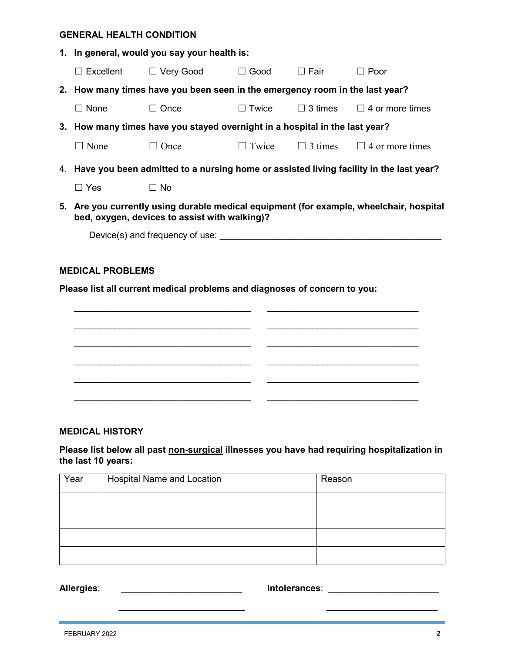#### **GENERAL HEALTH CONDITION**

|                                                                           | 1. In general, would you say your health is:                                                                                             |                                                                                           |                 |  |                                                    |  |
|---------------------------------------------------------------------------|------------------------------------------------------------------------------------------------------------------------------------------|-------------------------------------------------------------------------------------------|-----------------|--|----------------------------------------------------|--|
|                                                                           |                                                                                                                                          | □ Excellent □ Very Good □ Good □ Fair                                                     |                 |  | $\Box$ Poor                                        |  |
|                                                                           | 2. How many times have you been seen in the emergency room in the last year?                                                             |                                                                                           |                 |  |                                                    |  |
|                                                                           | $\Box$ None                                                                                                                              | $\Box$ Once                                                                               | $\square$ Twice |  | $\Box$ 3 times $\Box$ 4 or more times              |  |
|                                                                           |                                                                                                                                          | 3. How many times have you stayed overnight in a hospital in the last year?               |                 |  |                                                    |  |
|                                                                           | $\Box$ None                                                                                                                              | $\Box$ Once                                                                               |                 |  | $\Box$ Twice $\Box$ 3 times $\Box$ 4 or more times |  |
|                                                                           |                                                                                                                                          | 4. Have you been admitted to a nursing home or assisted living facility in the last year? |                 |  |                                                    |  |
|                                                                           | $\Box$ Yes                                                                                                                               | $\Box$ No                                                                                 |                 |  |                                                    |  |
|                                                                           | 5. Are you currently using durable medical equipment (for example, wheelchair, hospital<br>bed, oxygen, devices to assist with walking)? |                                                                                           |                 |  |                                                    |  |
|                                                                           |                                                                                                                                          |                                                                                           |                 |  |                                                    |  |
|                                                                           |                                                                                                                                          |                                                                                           |                 |  |                                                    |  |
| <b>MEDICAL PROBLEMS</b>                                                   |                                                                                                                                          |                                                                                           |                 |  |                                                    |  |
| Please list all current medical problems and diagnoses of concern to you: |                                                                                                                                          |                                                                                           |                 |  |                                                    |  |
|                                                                           |                                                                                                                                          |                                                                                           |                 |  |                                                    |  |
|                                                                           |                                                                                                                                          |                                                                                           |                 |  |                                                    |  |

# **MEDICAL HISTORY**

# **Please list below all past non-surgical illnesses you have had requiring hospitalization in the last 10 years:**

\_\_\_\_\_\_\_\_\_\_\_\_\_\_\_\_\_\_\_\_\_\_\_\_\_\_\_\_\_\_\_\_\_\_\_ \_\_\_\_\_\_\_\_\_\_\_\_\_\_\_\_\_\_\_\_\_\_\_\_\_\_\_\_\_\_

\_\_\_\_\_\_\_\_\_\_\_\_\_\_\_\_\_\_\_\_\_\_\_\_\_\_\_\_\_\_\_\_\_\_\_ \_\_\_\_\_\_\_\_\_\_\_\_\_\_\_\_\_\_\_\_\_\_\_\_\_\_\_\_\_\_

\_\_\_\_\_\_\_\_\_\_\_\_\_\_\_\_\_\_\_\_\_\_\_\_\_\_\_\_\_\_\_\_\_\_\_ \_\_\_\_\_\_\_\_\_\_\_\_\_\_\_\_\_\_\_\_\_\_\_\_\_\_\_\_\_\_

\_\_\_\_\_\_\_\_\_\_\_\_\_\_\_\_\_\_\_\_\_\_\_\_\_\_\_\_\_\_\_\_\_\_\_ \_\_\_\_\_\_\_\_\_\_\_\_\_\_\_\_\_\_\_\_\_\_\_\_\_\_\_\_\_\_

| Year | <b>Hospital Name and Location</b> | Reason |
|------|-----------------------------------|--------|
|      |                                   |        |
|      |                                   |        |
|      |                                   |        |
|      |                                   |        |

**Allergies**: \_\_\_\_\_\_\_\_\_\_\_\_\_\_\_\_\_\_\_\_\_\_\_\_ **Intolerances**: \_\_\_\_\_\_\_\_\_\_\_\_\_\_\_\_\_\_\_\_\_\_

\_\_\_\_\_\_\_\_\_\_\_\_\_\_\_\_\_\_\_\_\_\_\_\_\_ \_\_\_\_\_\_\_\_\_\_\_\_\_\_\_\_\_\_\_\_\_\_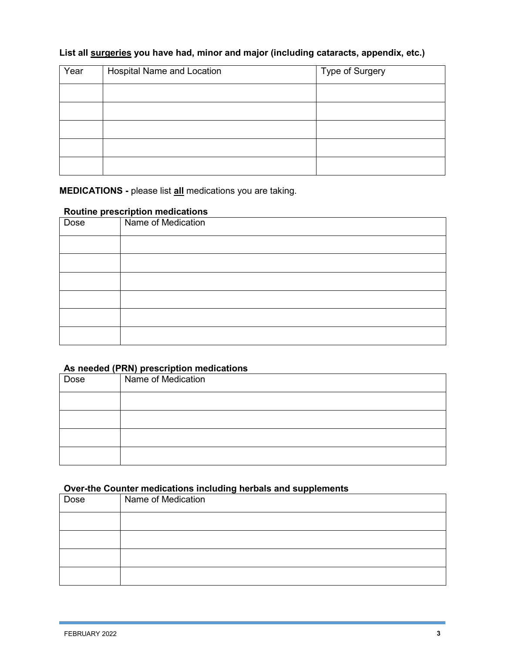# **List all surgeries you have had, minor and major (including cataracts, appendix, etc.)**

| Year | Hospital Name and Location | Type of Surgery |
|------|----------------------------|-----------------|
|      |                            |                 |
|      |                            |                 |
|      |                            |                 |
|      |                            |                 |
|      |                            |                 |

**MEDICATIONS -** please list **all** medications you are taking.

# **Routine prescription medications**

| and the second the second state of the second state of the second state of the second state of the second state of the second state of the second state of the second state of the second state of the second state of the sec<br>Dose | Name of Medication |
|----------------------------------------------------------------------------------------------------------------------------------------------------------------------------------------------------------------------------------------|--------------------|
|                                                                                                                                                                                                                                        |                    |
|                                                                                                                                                                                                                                        |                    |
|                                                                                                                                                                                                                                        |                    |
|                                                                                                                                                                                                                                        |                    |
|                                                                                                                                                                                                                                        |                    |
|                                                                                                                                                                                                                                        |                    |

# **As needed (PRN) prescription medications**

| Dose | Name of Medication |
|------|--------------------|
|      |                    |
|      |                    |
|      |                    |
|      |                    |

# **Over-the Counter medications including herbals and supplements**

| ----- - - ------<br>--------<br>------<br>- <b>-</b> - - - - - |                    |  |
|----------------------------------------------------------------|--------------------|--|
| Dose                                                           | Name of Medication |  |
|                                                                |                    |  |
|                                                                |                    |  |
|                                                                |                    |  |
|                                                                |                    |  |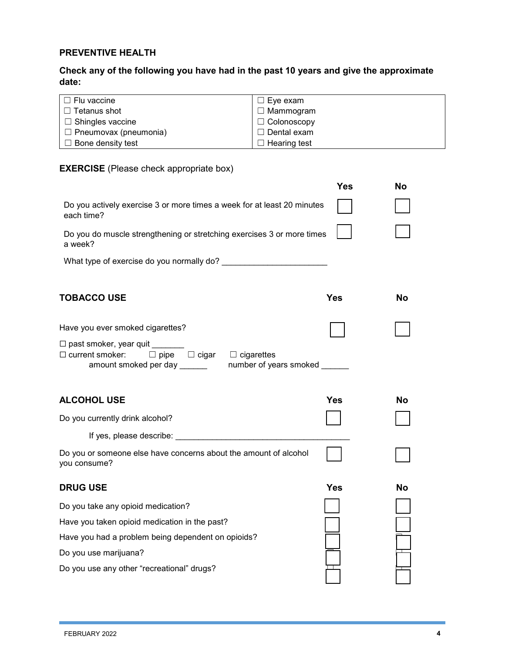# **PREVENTIVE HEALTH**

# **Check any of the following you have had in the past 10 years and give the approximate date:**

| $\Box$ Flu vaccine           | □ Eye exam          |
|------------------------------|---------------------|
| $\Box$ Tetanus shot          | $\Box$ Mammogram    |
| $\Box$ Shingles vaccine      | $\Box$ Colonoscopy  |
| $\Box$ Pneumovax (pneumonia) | $\Box$ Dental exam  |
| $\Box$ Bone density test     | $\Box$ Hearing test |

## **EXERCISE** (Please check appropriate box)

|                                                                                                                                          | Yes | No |
|------------------------------------------------------------------------------------------------------------------------------------------|-----|----|
| Do you actively exercise 3 or more times a week for at least 20 minutes<br>each time?                                                    |     |    |
| Do you do muscle strengthening or stretching exercises 3 or more times<br>a week?                                                        |     |    |
| What type of exercise do you normally do?                                                                                                |     |    |
| <b>TOBACCO USE</b>                                                                                                                       | Yes | Nο |
| Have you ever smoked cigarettes?<br>$\Box$ past smoker, year quit                                                                        |     |    |
| $\Box$ pipe $\Box$ cigar<br>$\Box$ current smoker:<br>$\Box$ cigarettes<br>number of years smoked ______<br>amount smoked per day ______ |     |    |
| <b>ALCOHOL USE</b>                                                                                                                       | Yes | No |
| Do you currently drink alcohol?                                                                                                          |     |    |
| If yes, please describe: __________                                                                                                      |     |    |
| Do you or someone else have concerns about the amount of alcohol<br>you consume?                                                         |     |    |
| <b>DRUG USE</b>                                                                                                                          | Yes | No |
| Do you take any opioid medication?                                                                                                       |     |    |
| Have you taken opioid medication in the past?                                                                                            |     |    |
| Have you had a problem being dependent on opioids?                                                                                       |     |    |
| Do you use marijuana?                                                                                                                    |     |    |
| Do you use any other "recreational" drugs?                                                                                               |     |    |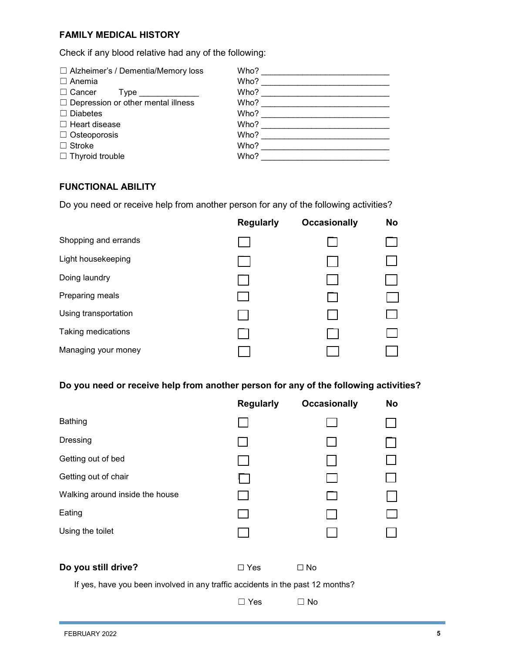# **FAMILY MEDICAL HISTORY**

Check if any blood relative had any of the following:

| $\Box$ Alzheimer's / Dementia/Memory loss | Who? |
|-------------------------------------------|------|
| $\Box$ Anemia                             | Who? |
| $\Box$ Cancer<br>I ype                    | Who? |
| $\Box$ Depression or other mental illness | Who? |
| $\Box$ Diabetes                           | Who? |
| $\Box$ Heart disease                      | Who? |
| $\Box$ Osteoporosis                       | Who? |
| $\Box$ Stroke                             | Who? |
| $\Box$ Thyroid trouble                    | Who? |
|                                           |      |

### **FUNCTIONAL ABILITY**

Do you need or receive help from another person for any of the following activities?

|                      | <b>Regularly</b> | <b>Occasionally</b> | <b>No</b> |
|----------------------|------------------|---------------------|-----------|
| Shopping and errands |                  |                     |           |
| Light housekeeping   |                  |                     |           |
| Doing laundry        |                  |                     |           |
| Preparing meals      |                  | l.                  |           |
| Using transportation |                  |                     |           |
| Taking medications   |                  |                     |           |
| Managing your money  |                  |                     |           |

## **Do you need or receive help from another person for any of the following activities?**

|                                                                                | <b>Regularly</b> | <b>Occasionally</b> | No |  |
|--------------------------------------------------------------------------------|------------------|---------------------|----|--|
| <b>Bathing</b>                                                                 |                  |                     |    |  |
| Dressing                                                                       |                  |                     |    |  |
| Getting out of bed                                                             |                  |                     |    |  |
| Getting out of chair                                                           |                  |                     |    |  |
| Walking around inside the house                                                |                  |                     |    |  |
| Eating                                                                         |                  |                     |    |  |
| Using the toilet                                                               |                  |                     |    |  |
| Do you still drive?                                                            | $\Box$ Yes       | $\Box$ No           |    |  |
| If yes, have you been involved in any traffic accidents in the past 12 months? |                  |                     |    |  |
|                                                                                | Yes              | $\Box$ No           |    |  |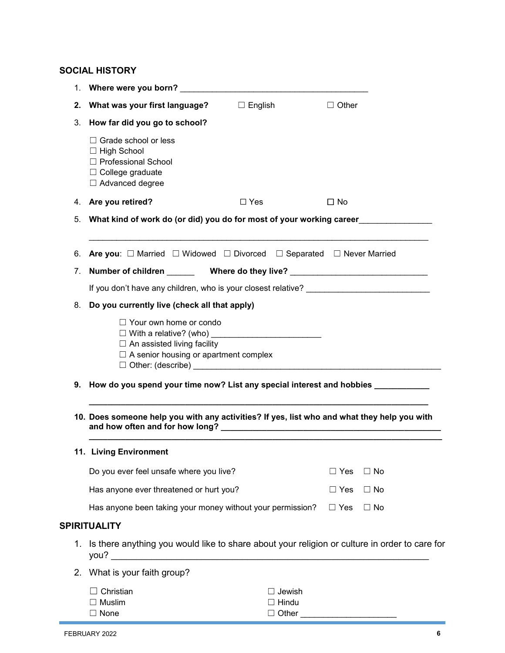# **SOCIAL HISTORY**

| 1. |                                                                                                                            |                                        |              |           |  |  |
|----|----------------------------------------------------------------------------------------------------------------------------|----------------------------------------|--------------|-----------|--|--|
| 2. | What was your first language?                                                                                              | $\Box$ English                         | $\Box$ Other |           |  |  |
| 3. | How far did you go to school?                                                                                              |                                        |              |           |  |  |
|    | $\Box$ Grade school or less<br>$\Box$ High School<br>□ Professional School<br>$\Box$ College graduate<br>□ Advanced degree |                                        |              |           |  |  |
| 4. | Are you retired?                                                                                                           | $\Box$ Yes                             | $\square$ No |           |  |  |
| 5. | What kind of work do (or did) you do for most of your working career                                                       |                                        |              |           |  |  |
| 6. | <b>Are you:</b> $\Box$ Married $\Box$ Widowed $\Box$ Divorced $\Box$ Separated $\Box$ Never Married                        |                                        |              |           |  |  |
| 7. |                                                                                                                            |                                        |              |           |  |  |
|    |                                                                                                                            |                                        |              |           |  |  |
|    | 8. Do you currently live (check all that apply)                                                                            |                                        |              |           |  |  |
|    | $\Box$ Your own home or condo<br>$\Box$ An assisted living facility<br>$\Box$ A senior housing or apartment complex        |                                        |              |           |  |  |
|    | 9. How do you spend your time now? List any special interest and hobbies ________                                          |                                        |              |           |  |  |
|    | 10. Does someone help you with any activities? If yes, list who and what they help you with                                |                                        |              |           |  |  |
|    | 11. Living Environment                                                                                                     |                                        |              |           |  |  |
|    | Do you ever feel unsafe where you live?                                                                                    |                                        | $\Box$ Yes   | $\Box$ No |  |  |
|    | Has anyone ever threatened or hurt you?                                                                                    |                                        | $\Box$ Yes   | $\Box$ No |  |  |
|    | Has anyone been taking your money without your permission?                                                                 |                                        | $\Box$ Yes   | $\Box$ No |  |  |
|    | <b>SPIRITUALITY</b>                                                                                                        |                                        |              |           |  |  |
| 1. | Is there anything you would like to share about your religion or culture in order to care for<br>you?                      |                                        |              |           |  |  |
| 2. | What is your faith group?                                                                                                  |                                        |              |           |  |  |
|    | Christian<br>$\Box$ Muslim<br>$\Box$ None                                                                                  | Jewish<br>$\Box$ Hindu<br>$\Box$ Other |              |           |  |  |

□ Other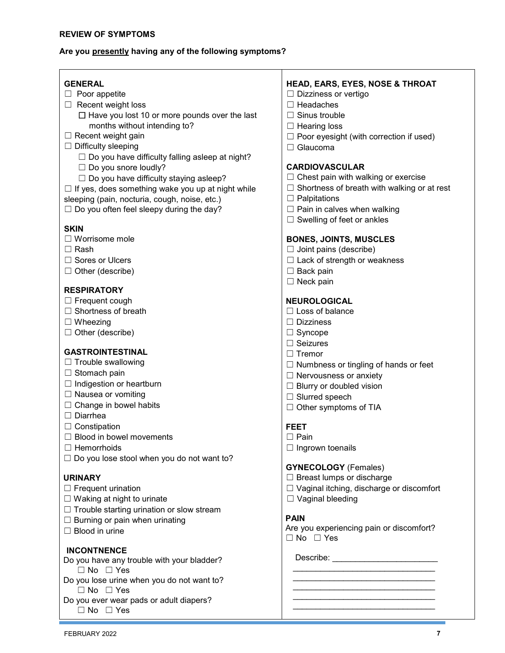#### **Are you presently having any of the following symptoms?**

#### **GENERAL**

- □ Poor appetite
- ☐ Recent weight loss

 $\Box$  Have you lost 10 or more pounds over the last months without intending to?

- $\Box$  Recent weight gain
- $\Box$  Difficulty sleeping

 $\Box$  Do you have difficulty falling asleep at night?

 $\Box$  Do you snore loudly?

☐ Do you have difficulty staying asleep?

 $\Box$  If yes, does something wake you up at night while

sleeping (pain, nocturia, cough, noise, etc.)  $\Box$  Do you often feel sleepy during the day?

#### **SKIN**

- ☐ Worrisome mole
- ☐ Rash
- ☐ Sores or Ulcers
- ☐ Other (describe)

#### **RESPIRATORY**

- □ Frequent cough
- $\Box$  Shortness of breath
- ☐ Wheezing
- ☐ Other (describe)

### **GASTROINTESTINAL**

- $\Box$  Trouble swallowing
- □ Stomach pain
- □ Indigestion or heartburn
- ☐ Nausea or vomiting
- $\Box$  Change in bowel habits
- ☐ Diarrhea
- ☐ Constipation
- □ Blood in bowel movements
- ☐ Hemorrhoids
- $\Box$  Do you lose stool when you do not want to?

#### **URINARY**

- ☐ Frequent urination
- $\Box$  Waking at night to urinate
- $\Box$  Trouble starting urination or slow stream
- $\Box$  Burning or pain when urinating
- $\Box$  Blood in urine

### **INCONTNENCE**

- Do you have any trouble with your bladder? ☐ No ☐ Yes
- Do you lose urine when you do not want to? ☐ No ☐ Yes
- Do you ever wear pads or adult diapers? ☐ No ☐ Yes

### **HEAD, EARS, EYES, NOSE & THROAT**

- ☐ Dizziness or vertigo
- ☐ Headaches
- ☐ Sinus trouble
- $\Box$  Hearing loss
- $\Box$  Poor eyesight (with correction if used)
- ☐ Glaucoma

### **CARDIOVASCULAR**

- ☐ Chest pain with walking or exercise
- ☐ Shortness of breath with walking or at rest
- ☐ Palpitations
- $\Box$  Pain in calves when walking
- $\Box$  Swelling of feet or ankles

#### **BONES, JOINTS, MUSCLES**

- $\Box$  Joint pains (describe)
- $\Box$  Lack of strength or weakness
- □ Back pain
- ☐ Neck pain

## **NEUROLOGICAL**

- $\Box$  Loss of balance
- ☐ Dizziness
- ☐ Syncope
- ☐ Seizures
- ☐ Tremor
- $\Box$  Numbness or tingling of hands or feet
- ☐ Nervousness or anxiety
- ☐ Blurry or doubled vision
- ☐ Slurred speech
- □ Other symptoms of TIA

#### **FEET**

- ☐ Pain
- □ Ingrown toenails

#### **GYNECOLOGY** (Females)

- ☐ Breast lumps or discharge
- ☐ Vaginal itching, discharge or discomfort
- ☐ Vaginal bleeding

#### **PAIN**

Are you experiencing pain or discomfort? ☐ No ☐ Yes

\_\_\_\_\_\_\_\_\_\_\_\_\_\_\_\_\_\_\_\_\_\_\_\_\_\_\_\_\_\_\_ \_\_\_\_\_\_\_\_\_\_\_\_\_\_\_\_\_\_\_\_\_\_\_\_\_\_\_\_\_\_\_ \_\_\_\_\_\_\_\_\_\_\_\_\_\_\_\_\_\_\_\_\_\_\_\_\_\_\_\_\_\_\_ \_\_\_\_\_\_\_\_\_\_\_\_\_\_\_\_\_\_\_\_\_\_\_\_\_\_\_\_\_\_\_ \_\_\_\_\_\_\_\_\_\_\_\_\_\_\_\_\_\_\_\_\_\_\_\_\_\_\_\_\_\_\_

Describe: \_\_\_\_\_\_\_\_\_\_\_\_\_\_\_\_\_\_\_\_\_\_\_